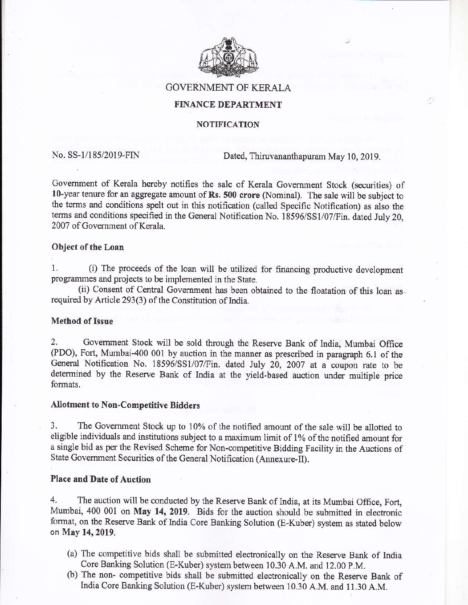

## GOVERNMENT OF KERALA

# FINANCE DEPARTMENT

### **NOTIFICATION**

No. SS-1/185/2019-FIN Dated, Thiruvananthapuram May 10, 2019.

Government of Kerala hereby notifies the sale of Kerala Government Stock (securities) of l0-year tenue for an aggregate amount of Rs. 500 crore (Nominal). The sale will be subject to the terms and conditions spelt out in this notification (called Specific Notification) as also the terms and conditions specified in the General Notification No. 18596/SS1/07/Fin. dated July 20, 2007 of Govemment of Kerala.

#### Object of the Loan

1. (i) The proceeds of the loan will be utilized for financing productive development programmes and projects to be implemented in the State.

(ii) Consent of Central Govemment has been obtained to the floatation of this loan as. required by Article 293(3) of the Constitution of India.

### Method of Issue

2. Govemment Stock will be sold though the Reserve Bank of India, Mumbai Office (PDO), Fort, Mumbai-400 001 by auction in the manner as prescribed in paragraph 6.1 of the General Notification No. 18596/SS1/07/Fin. dated July 20, 2007 at a coupon rate to be determined by the Reserve Bank of India at the yield-based auction under multiple price formats.

#### Allotment to Non-Competitive Bidders

3. The Government Stock up to 10% of the notified amount of the sale will be allotted to eligible individuals and institutions subject to a maximum limit of 1% of the notified amount for <sup>a</sup>single bid as per the Revised Scheme for Non-competitive Bidding Facility in the Auctions of State Government Securities of the General Notification (Annexure-II).

### Place and Date of Auction

4. The auction will be conducted by the Reserve Bank of India, at its Mumbai Office, Fort, Mumbai, 400 001 on May 14, 2019. Bids for the auction should be submitted in electronic format, on the Reserye Bank of India Core Banking Solution (E-Kuber) system as stated below on May 14,2019.

- (a) The competitive bids shall be submitted electronically on the Reserve Bank of India Core Banking Solution (E-Kuber) system between 10.30 A.M. and 12.00 P.M.
- (b) The non- competitive bids shall be submitted electronically on the Reserve Bank of India Core Banking Solution (E-Kuber) system between 10.30 A.M. and 11.30 A.M.